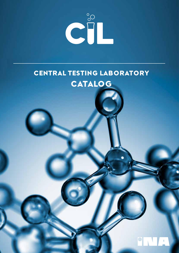

# CENTRAL TESTING LABORATORY CATALOG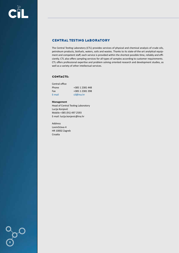# CENTRAL TESTING LABORATORY

The Central Testing Laboratory (CTL) provides services of physical and chemical analysis of crude oils, petroleum products, biofuels, waters, soils and wastes. Thanks to its state-of-the-art analytical equipment and competent staff, each service is provided within the shortest possible time, reliably and efficiently. CTL also offers sampling services for all types of samples according to customer requirements. CTL offers professional expertise and problem solving oriented research and development studies, as well as a variety of other intellectual services.

# CONTACTS:

| Central office |                 |
|----------------|-----------------|
| Phone          | +385 1 2381 448 |
| Fax            | +385 1 2381 398 |
| E-mail         | cil@ina.hr      |

#### **Management**

Head of Central Testing Laboratory Lucija Konjević Mobile +385 (91) 497 2593 E-mail: lucija.konjevic@ina.hr

Address Lovinčićeva 4 HR 10002 Zagreb Croatia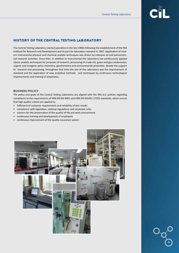

# HISTORY OF THE CENTRAL TESTING LABORATORY

The Central Testing Laboratory started operation in the late 1960s following the establishment of the INA Institute for Research and Development and its part for laboratory research in 1967. Application of modern instrumental physical and chemical analytic techniques was driven by intensive oil and petrochemical research activities. Since then, in addition to instrumental the Laboratory has continuously applied classic analytic techniques for purposes of research; processing of crude oils, gases and gas condensates; organic and inorganic petro chemistry; geochemistry and environmental protection. Beside the support to research and processing, throughout that time the aim of the Laboratory was the improvement of standard and the application of new analytical methods and techniques by continuous technological improvements and training of employees.

#### BUSINESS POLICY

The policy and goals of the Central Testing Laboratory are aligned with the INA d.d. policies regarding compliance to the requirements of HRN EN ISO 9001 and HRN EN ISO/IEC 17025 standards, which ensure that high quality criteria are applied to:

- fulfilment of customer requirements and reliability of test results
- compliance with legislation, national regulations and corporate rules
- concern for the preservation of the quality of life and work environment
- continuous training and development of employees
- continuous improvement of the quality assurance system



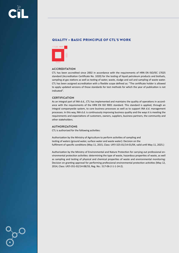# QUALITY – BASIC PRINCIPLE OF CTL'S WORK



### **ACCREDITATION**

CTL has been accredited since 2002 in accordance with the requirements of HRN EN ISO/IEC 17025 standard (Accreditation Certificate No. 1020) for the testing of liquid petroleum products and biofuels, sampling at gas stations as well as testing of water, waste, sludge and soil and sampling of waste water. CTL has been assigned accreditation with a flexible scope defined as: "The certificate holder is allowed to apply updated versions of those standards for test methods for which the year of publication is not indicated".

# **CERTIFICATION**

As an integral part of INA d.d., CTL has implemented and maintains the quality of operations in accordance with the requirements of the HRN EN ISO 9001 standard. This standard is applied, through an integral companywide system, to core business processes as well as to support INA d.d. management processes. In this way, INA d.d. is continuously improving business quality and the ways it is meeting the requirements and expectations of customers, owners, suppliers, business partners, the community and other stakeholders.

### AUTHORIZATIONS

CTL is authorized for the following activities:

Authorization by the Ministry of Agriculture to perform activities of sampling and testing of waters (ground water, surface water and waste water): Decision on the fulfilment of specific conditions (May 11, 2015, Class: UP/I-325-01/14-01/04, valid until May 11, 2025.)

Authorization by the Ministry of Environmental and Nature Protection for carrying out professional environmental protection activities: determining the type of waste, hazardous properties of waste, as well as sampling and testing of physical and chemical properties of waste and environmental monitoring: Decision on granting approval for performing professional environmental protection activities (May 12, 2014, Class: UP/I-351-02/14-08/33, Reg. No.: 517-06-2-1-1-14-2).

4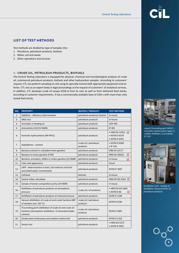# LIST OF TEST METHODS

Test methods are divided by type of samples into:

- 1. Petroleum, petroleum products, biofuels
- 2. Water, soil and waste
- 3. Other operations and services

# 1. CRUDE OIL, PETROLEUM PRODUCTS, BIOFUELS

The Central Testing Laboratory is equipped for physical, chemical and microbiological analyses of crude oil, commercial petroleum products, biofuels and other hydrocarbon samples. According to customers' request, CTL can perform sampling on-site using its specially trained staff, appropriate equipment and vehicles. CTL acts as an expert body in legal proceedings at the request of customers' of analytical services. In addition, CTL develops crude oil assays (COA-s) from its own as well as from delivered feed stocks, according to customer requirements. It has a commercially available base of COA-s with more than sixty tested feed stocks.

| NO. | <b>PROPERTY</b>                                                                                                                    | <b>MATRIX / PRODUCT</b>           | <b>TEST METHOD</b>                                    |
|-----|------------------------------------------------------------------------------------------------------------------------------------|-----------------------------------|-------------------------------------------------------|
| 1.  | Additives - efficiency determination                                                                                               | petroleum products/ biofuel       | In-house                                              |
| 3.  | <b>ARAL test</b>                                                                                                                   | petroleum products                | In-house                                              |
| 4.  | Aromatics in heating oil                                                                                                           | petroleum products                | <b>UOP 495</b>                                        |
| 5.  | Aromaticity (13C/1H NMR)                                                                                                           | petroleum products                | IP 392                                                |
| 6.  | Aromatic hydrocarbons (NP-HPLC)                                                                                                    | petroleum products                | σ<br>• HRN EN 12916<br>• ASTM D 6379<br>• ASTM D 6591 |
| 7.  | Asphaltenes - content                                                                                                              | crude oil / petroleum<br>products | • ASTM D 6560<br>$\bullet$ IP 143                     |
| 8.  | Benzene content in unleaded motor gasoline                                                                                         | petroleum products                | <b>HRN EN 12177</b>                                   |
| 9.  | Benzene in motor gasoline (FTIR)                                                                                                   | petroleum products                | σ<br><b>HRN EN 238/A1</b>                             |
| 10. | Benzene, aromatics, olefins in motor gasoline (1H NMR)                                                                             | petroleum products                | In-house<br>σ                                         |
| 11. | Color and appearance                                                                                                               | petroleum products                | Visual                                                |
| 12. | cATP - determination in fuels, fuel mixtures and fuel<br>associated water, Luminometer                                             | petroleum products                | <b>ASTM D 7687</b>                                    |
| 13. | Cellulose                                                                                                                          | biofuels                          | In-house                                              |
| 14. | Cetane index, calculated                                                                                                           | petroleum products                | <b>HRN EN ISO 4264</b>                                |
| 15. | Sample of known composition purity (1H NMR)                                                                                        | petroleum products                | In-house                                              |
| 16. | Distillation of petroleum products at atmospheric<br>pressure                                                                      | crude oil / oil products          | • HRN EN ISO 3405<br>• ASTM D 86<br>π                 |
| 17. | Distillation of petroleum products at reduced pressure                                                                             | petroleum products                | <b>ASTM D 1160</b>                                    |
| 18. | Vacuum distillation of crude oil and crude fractions (IBP<br>of samples over 150 °C)                                               | crude oil / petroleum<br>products | <b>ASTM D 5236</b>                                    |
| 19. | True boiling point distillation of crude oil and crude oil<br>fractions (atmospheric distillation, 15 theoretical plate<br>column) | crude oil / petroleum<br>products | <b>ASTM D 2892</b>                                    |
| 20. | Smoke point of kerosene and aviation turbine fuel                                                                                  | petroleum products                | <b>ASTM D 1322</b>                                    |
| 21. | Doctor test                                                                                                                        | petroleum products                | • HRN ISO 5275<br>• ASTM D 4952                       |





*Liquid Chromatograph (HPLC) – aromatics hydrocarbon types in middle distillates, Euromarker SY 124*



*Distillation Unit - testing of distillation characteristics of petroleum products*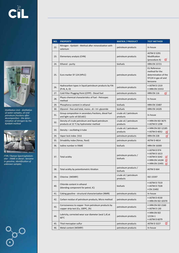



*Distillation Unit - distillation of water samples, oil and petroleum fractions after decomposition - the determination of nitrogen by the Kjeldahl method*



*FTIR / Raman Spectrophotometer - FAME in diesel ; benzene in gasoline, identification of unknown samples*

| NO. | <b>PROPERTY</b>                                                                           | <b>MATRIX / PRODUCT</b>           | <b>TEST METHOD</b>                                                                                |
|-----|-------------------------------------------------------------------------------------------|-----------------------------------|---------------------------------------------------------------------------------------------------|
| 22. | Nitrogen - Kjeldahl - Method after mineralization with<br>selenium                        | petroleum products                | In-house                                                                                          |
| 23. | Elementary analysis (CHN)                                                                 | petroleum products                | <b>ASTM D 5291</b><br>Modification<br>σ<br>(procedure A)                                          |
| 24. | Ethanol - purity                                                                          | biofuels                          | <b>HRN EN 15721</b>                                                                               |
| 25. | Euro marker SY 124 (HPLC)                                                                 | petroleum products                | <b>EU Reference</b><br>method for the<br>determination of the<br>SY124 in gas oil and<br>kerosene |
| 26. | Hydrocarbon types in liquid petroleum products by FIA<br>$(P+N, A, O)$                    | petroleum products                | • ASTM D 1319<br>• HRN EN 15553                                                                   |
| 27. | Cold Filter Plugging Point (CFPP) - Diesel fuel                                           | petroleum products                | <b>HRN EN 116</b><br>σ                                                                            |
| 28. | Physic-chemical characteristics of fuel - Petrospec<br>method                             | petroleum products                | In-house                                                                                          |
| 29. | Phosphorus content in ethanol                                                             | biofuels                          | <b>HRN EN 15487</b>                                                                               |
| 30. | Glycerol - free and total, mono-, di- i tri- glyceride                                    | biofuels                          | <b>HRN EN 14105</b>                                                                               |
| 31. | Group composition in secondary fractions, diesel fuel<br>and light cyclic oil (GCxGC)     | crude oil / petroleum<br>products | In-house                                                                                          |
| 32. | Density of crude petroleum and liquid petroleum<br>products at 15 °C by hydrometer method | crude oil / petroleum<br>products | • HRN EN ISO 3675<br>• ASTM D 1298                                                                |
| 33. | Density - oscillating U-tube                                                              | crude oil / petroleum<br>products | • HRN EN ISO 12185<br>• ASTM D 4052<br>α                                                          |
| 34. | Vapor lock index (VLI)                                                                    | petroleum products                | <b>HRN EN 228</b><br>σ                                                                            |
| 35. | Drivability index (%mas, %vol)                                                            | petroleum products                | <b>ASTM D 4814</b>                                                                                |
| 36. | Iodine number in FAME                                                                     | biofuels                          | <b>HRN EN 16300</b>                                                                               |
| 37. | Total acidity                                                                             | petroleum products /<br>biofuels  | • ASTM D 974<br>• ASTM D 1613<br>• ASTM D 3242<br>σ<br>• HRN EN 14104<br>σ<br>• HRN EN 15491      |
| 38. | Total acidity by potentiometric titration                                                 | petroleum products /<br>biofuels  | ASTM D 664                                                                                        |
| 39. | Chlorine (WDXRF)                                                                          | crude oil / petroleum<br>products | ISO 15597                                                                                         |
| 40. | Chloride content in ethanol<br>(blending component for petrol, IC)                        | biofuels                          | • ASTM D 7319<br>• ASTM D 7328<br>• EN 15492                                                      |
| 41. | Coking gasoline - structural characterization (NMR)                                       | petroleum products                | In-house                                                                                          |
| 42. | Carbon residue of petroleum products, Micro method                                        | petroleum products                | • ASTM D 4530<br>• HRN EN ISO 10370                                                               |
| 43. | Corrosiveness to copper from petroleum products by<br>copper strip test (Cu, 100°C, 2h)   | petroleum products                | • HRN EN ISO 2160<br>• ASTM D 130                                                                 |
| 44. | Lubricity, corrected wear scar diameter (wsd 1,4) at<br>$60^{\circ}$ C                    | petroleum products                | • HRN EN ISO<br>12156-1<br>• ASTM D 6079                                                          |
| 45. | Thiol mercaptan sulfur                                                                    | petroleum products                | σ<br><b>ASTM D 3227</b>                                                                           |
| 46. | Metal content (WDXRF)                                                                     | petroleum products                | In-house                                                                                          |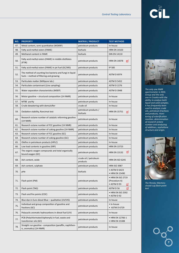| ۰ |  |
|---|--|
|   |  |
|   |  |
|   |  |

*The only one NMR spectrometer in MOL Group and the only one in Croatia with the ability to analyze both liquid and solid samples. It has frequently been used to analyze crude oils, petroleum fractions and products, monitoring of esterification reaction, determination of research octane number and analyzing of additives, asphaltene structure and origin.*



*The Pensky–Martens closed-cup flash-point test*

| NO. | <b>PROPERTY</b>                                                                                     | <b>MATRIX / PRODUCT</b>           | <b>TEST METHOD</b>                                     |
|-----|-----------------------------------------------------------------------------------------------------|-----------------------------------|--------------------------------------------------------|
| 47. | Metal content, semi quantitative (WDXRF)                                                            | petroleum products                | In-house                                               |
| 48. | Fatty acid methyl esters (FAME)                                                                     | biofuels                          | <b>HRN EN 14103</b>                                    |
| 49. | Methanol content in FAME                                                                            | biofuels                          | <b>DIN EN 14110</b>                                    |
| 50. | Fatty acid methyl esters (FAME) in middle distillates<br>(FTIR)                                     | petroleum products                | <b>HRN EN 14078</b><br>о                               |
| 51. | Fatty acid methyl esters (FAME) in jet fuel (GC/MS)                                                 | petroleum products                | <b>IP 585</b>                                          |
| 52. | The method of counting live bacteria and fungi in liquid<br>fuels - method of filtering and growing | petroleum products                | <b>ASTM D 6974</b>                                     |
| 53. | Particulate matter (Millipore lab.)                                                                 | petroleum products                | <b>ASTM D 5452</b>                                     |
| 54. | Particulate contaminant (Line sampling)                                                             | petroleum products                | <b>ASTM D 2276</b>                                     |
| 55. | Water separation characteristics (MSEP)                                                             | petroleum products                | <b>ASTM D 3948</b>                                     |
| 56. | Motor gasoline - structural composition (1H NMR)                                                    | petroleum products                | In-house                                               |
| 57. | MTBE purity                                                                                         | petroleum products                | In-house                                               |
| 58. | Crude dewatering with demulsifier                                                                   | crude oil                         | In-house                                               |
| 59. | Oxidation stability, Rancimat test                                                                  | petroleum products /<br>biofuels  | <b>HRN EN 15751</b><br>σ                               |
| 60. | Research octane number of catalytic reforming gasoline<br>(1H NMR)                                  | petroleum products                | In-house                                               |
| 61. | Research octane number of FCC gasoline (1H NMR)                                                     | petroleum products                | In-house                                               |
| 62. | Research octane number of coking gasoline (1H NMR)                                                  | petroleum products                | In-house                                               |
| 63. | Research octane number of FCC gasoline (GC)                                                         | petroleum products                | In-house                                               |
| 64. | Research octane number of coking gasoline (GC)                                                      | petroleum products                | In-house                                               |
| 65. | Olefins in petroleum products (HPLC)                                                                | petroleum products                | In-house                                               |
| 66. | Low lead contents in gasoline (XRF)                                                                 | petroleum products                | <b>HRN EN 13723</b>                                    |
| 67. | The organic oxygen compounds and total organically<br>bound oxygen (GC)                             | petroleum products                | σ<br><b>HRN EN 13132</b>                               |
| 68. | Ash content, oxide                                                                                  | crude oil / petroleum<br>products | <b>HRN EN ISO 6245</b>                                 |
| 69. | Ash content, sulphate                                                                               | petroleum products                | <b>HRN ISO 3987</b>                                    |
| 70. | pHe                                                                                                 | biofuels                          | • ASTM D 6423<br>• HRN EN 15490                        |
| 71. | Flash point (PM)                                                                                    | petroleum products                | • HRN EN ISO 2719<br>(Procedure A)<br>• ASTM D 93<br>α |
| 72. | Flash point (TAG)                                                                                   | petroleum products                | ASTM D 56<br>σ                                         |
| 73. | Flash and fire points (COC)                                                                         | petroleum products                | • HRN EN ISO 2592<br>$\bullet$ ASTM D 92               |
| 74. | Blue dye in Euro diesel Blue - qualitative (UV/VIS)                                                 | petroleum products                | In-house                                               |
| 75. | Individual and group composition of gasoline and<br>fractions (GC)                                  | petroleum products                | • In-house<br>• ASTM D 6729                            |
| 76. | Polycyclic aromatic hydrocarbons in diesel fuel (UV)                                                | petroleum products                | In-house                                               |
| 77. | PCB (Polychlorinated biphenyls) in fuel, waste and<br>transformer oils (GC)                         | petroleum products                | • HRN EN 12766-1<br>• HRN EN 15308                     |
| 78. | Straight run gasoline - composition (paraffin, naphthen-<br>ic, aromatics) (1H NMR)                 | petroleum products                | In-house                                               |
|     |                                                                                                     |                                   |                                                        |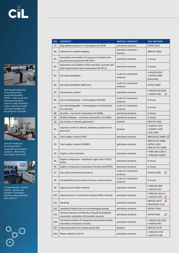



*Wavelength dispersive X-ray fluorescence spectrophotometer (WDX) - sulfur in oil and petroleum products, chlorine, lead, vanadium, nickel, scanning of solid and liquid samples for the presence of metals*



*Units for testing of low-temperature properties of petroleum products - filterability, cloud point, pour point*



*Comprenhensive GCxGC System – group composition in secondary fractions, diesel fuel and light cyclic oil*



| NO.  | <b>PROPERTY</b>                                                                                          | <b>MATRIX / PRODUCT</b>           | <b>TEST METHOD</b>                                                       |
|------|----------------------------------------------------------------------------------------------------------|-----------------------------------|--------------------------------------------------------------------------|
| 79.  | Degradation products in used engine oils (FTIR)                                                          | petroleum products                | <b>ASTM E2412</b>                                                        |
| 80.  | Sediments in middle distillates                                                                          | petroleum products /<br>biofuels  | <b>HRN EN 12662</b>                                                      |
| 81.  | Separation and isolation of a group of aromatic com-<br>pounds (semi-preparative NP-HPLC)                | petroleum products                | In-house                                                                 |
| 82.  | Separation and isolation of the saturated, aromatic and<br>polar hydrocarbons (semi-preparative NP-HPLC) | petroleum products                | In-house                                                                 |
| 83.  | Simulated distillation                                                                                   | crude oil / petroleum<br>products | • ASTM D 6352<br>• ASTM D 2887<br>(extended)                             |
| 84.  | Simulated distillation (MAT test)                                                                        | crude oil / petroleum<br>products | <b>ASTM D 2887</b>                                                       |
| 85.  | Existent gum content                                                                                     | petroleum products                | • HRN EN ISO 6246<br>• ASTM D 381<br>α                                   |
| 86.  | Gas chromatography – chromatogram (GCxGC)                                                                | crude oil / petroleum<br>products | In-house                                                                 |
| 87.  | Gas chromatography – chromatogram and interpreta-<br>tion (GCxGC)                                        | crude oil / petroleum<br>products | In-house                                                                 |
| 88.  | Gasoline - structural composition (1H NMR)                                                               | petroleum products                | In-house                                                                 |
| 89.  | Middle distillates - structural composition (1H NMR)                                                     | petroleum products                | In-house                                                                 |
| 90.  | Dry residue in ethanol, gravimetric                                                                      | biofuels                          | <b>HRN EN 15691</b>                                                      |
| 91.  | Sulphate content in ethanol, blending component for<br>petrol (IC)                                       | biofuels                          | • ASTM D 7319<br>• ASTM D 7328<br>• EN 15492                             |
| 92.  | Total sulphur content (UVF)                                                                              | petroleum products                | <b>HRN EN ISO 20846</b>                                                  |
| 93.  | Total sulphur content (WDXRF)                                                                            | petroleum products                | <b>HRN EN ISO 20884</b><br><b>ASTM D 2622</b><br><b>HRN EN ISO 14596</b> |
| 94.  | Sulphur, microculometry                                                                                  | petroleum products                | • HRN DIN 51400-2<br>• HRN DIN 51400-7                                   |
| 95.  | Sulphur compounds - individual in light cyclic oil (GC/<br>PFPD)                                         | petroleum products                | In-house                                                                 |
| 96.  | Sulphur compounds in petroleum fractions (GC/PFPD)                                                       | petroleum products                | In-house                                                                 |
| 97.  | Pour point of petroleum products                                                                         | crude oil / petroleum<br>products | σ<br><b>ASTM D 5950</b>                                                  |
| 98.  | Compatibility test of crude and heavy crude products                                                     | crude oil / petroleum<br>products | In-house                                                                 |
| 99.  | Vapor pressure (Reid method)                                                                             | petroleum products                | • HRN ISO 3007<br>• ASTM D 323                                           |
| 100. | Vapor pressure of petroleum products (Mini method)                                                       | petroleum products                | • HRN EN 13016-1<br>• ASTM D 5191<br>α                                   |
| 101. | Sampling                                                                                                 | petroleum products                | σ<br><b>HRN EN 14275</b><br><b>HRN EN ISO 3170</b>                       |
| 102. | Sampling of liquid fuels for microbiological testing                                                     | petroleum products                | <b>ASTM D 7464</b>                                                       |
| 103. | Viscosity dynamic and density of liquids by Stabinger<br>viscometer, calculation of kinematic viscosity  | petroleum products                | ASTM D7042<br>σ                                                          |
| 104. | Viscosity kinematic of transparent and opaque liquids,<br>calculation of dynamic viscosity               | petroleum products                | • HRN EN ISO 3104<br>• ASTM D 445                                        |
| 105. | Polyunsaturated (≥4) double bonds (GC)                                                                   | biofuels                          | <b>HRN EN 15779</b>                                                      |
| 106. | Water content in fuel oil                                                                                | petroleum products                | • HRN ISO 3734<br>• ASTM D 1796                                          |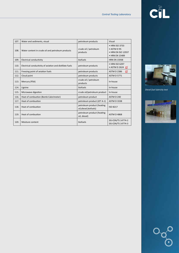# CHI



*Diesel fuel lubricity test*



9

 $\bigcirc$ 

| 107. | Water and sediments, visual                              | petroleum products                                   | Visual                                                                        |
|------|----------------------------------------------------------|------------------------------------------------------|-------------------------------------------------------------------------------|
| 108. | Water content in crude oil and petroleum products        | crude oil / petroleum<br>products                    | • HRN ISO 3733<br>$\bullet$ ASTM D 95<br>• HRN EN ISO 12937<br>• HRN EN 15489 |
| 109. | <b>Electrical conductivity</b>                           | biofuels                                             | <b>HRN EN 15938</b>                                                           |
| 110. | Electrical conductivity of aviation and distillate fuels | petroleum products                                   | • HRN ISO 6297<br>$\bullet$ ASTM D 2624                                       |
| 111. | Freezing point of aviation fuels                         | petroleum products                                   | <b>ASTM D 2386</b><br>σ                                                       |
| 112. | Cloud point                                              | petroleum products                                   | <b>ASTM D 5771</b>                                                            |
| 113. | Mercury (PSA)                                            | crude oil / petroleum<br>products                    | In-house                                                                      |
| 114. | Lignine                                                  | biofuels                                             | In-house                                                                      |
| 115. | Microwave digestion                                      | crude oil/petroleum product                          | In-house                                                                      |
| 116. | Heat of combustion (Bomb Calorimeter)                    | petroleum product                                    | ASTM D 240                                                                    |
| 117. | Heat of combustion                                       | petroleum product (JET A-1)                          | <b>ASTM D 3338</b>                                                            |
| 118. | Heat of combustion                                       | petroleum product (heating<br>oil, diesel, biofuels) | <b>ISO 8217</b>                                                               |
| 119. | Heat of combustion                                       | petroleum product (heating<br>oil, diesel)           | <b>ASTM D 4868</b>                                                            |
| 120. | Moisture content                                         | biofuels                                             | SIS-CEN/TS 14774-2<br>SIS-CEN/TS 14774-3                                      |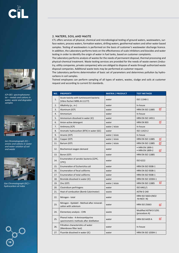

*ICP-OES spectrophotometer – metals and cations in water, waste and degraded samples*



*Ion Chromatograph (IC) – anions and cations in water and water solution of soil and waste*



*Gas Chromatograph (GC) – hydrocarbon oil index*

10

#### 2. WATERS, SOIL AND WASTE

CTL offers services of physical, chemical and microbiological testing of ground waters, wastewaters, surface waters, process waters, formation waters, drilling waters, geothermal waters and other water based samples. Testing of wastewaters is performed on the basis of customer's wastewater discharge licence. In addition, the Laboratory performs tests on the effectiveness of scale inhibitors and biocides and water testing in order to identify the origin of water in fuel tanks, based on customer complaints.

The Laboratory performs analysis of wastes for the needs of permanent disposal, thermal processing and physical-chemical treatment. Waste testing services are provided for the needs of waste owners (industry, utility companies, private companies) who are obliged to dispose of waste through authorized waste disposal companies. Additional waste tests may be performed at customer request.

The Laboratory performs determination of basic set of parameters and determines pollution by hydrocarbons in soil samples.

Trained employees can perform sampling of all types of waters, wastes, sludge and soils at customer request and according to current EU standards.

| NO.              | <b>PROPERTY</b>                                                              | <b>MATRIX / PRODUCT</b> | <b>TEST METHOD</b>                      |
|------------------|------------------------------------------------------------------------------|-------------------------|-----------------------------------------|
| 1.               | Acute toxicity with luminescent bacteria<br>(Vibro fischeri NRRL-B-11177)    | water                   | ISO 11348-1                             |
| $\overline{2}$ . | Alkalinity (p-, m-)                                                          | water                   | In-house                                |
| 3.               | Aluminum (ICP)                                                               | water                   | σ<br><b>HRN EN ISO 11885</b>            |
| 4.               | Ammonium                                                                     | water                   | In-house                                |
| 5.               | Ammonium dissolved in water (IC)                                             | water                   | <b>HRN EN ISO 14911</b>                 |
| 6.               | Anion-active detergent                                                       | water                   | σ<br><b>HRN EN 903</b>                  |
| 7.               | Antimony (ICP)                                                               | water / elute           | In-house                                |
| 8.               | Aromatic hydrocarbon (BTX) in water (GC)                                     | water                   | ISO 11423-2                             |
| 9.               | Arsenic (ICP)                                                                | water / elute           | In-house                                |
| 10.              | Copper (ICP)                                                                 | water / elute           | σ<br><b>HRN EN ISO 11885</b>            |
| 11.              | Barium (ICP)                                                                 | water / elute           | σ<br><b>HRN EN ISO 11885</b>            |
| 12.              | Biochemical oxygen demand                                                    | water                   | • HRN EN 1899-1<br>• HRN EN 1899-2<br>σ |
| 13.              | Boron (ICP)                                                                  | water                   | <b>HRN EN ISO 11885</b>                 |
| 14.              | Enumeration of aerobic bacteria (22ºC,<br>37ºC)                              | water                   | ISO 6222                                |
| 15.              | Enumeration of Escherichia coli                                              | water                   | <b>HRN EN ISO 9308-1</b>                |
| 16.              | <b>Enumeration of fecal coliforms</b>                                        | water                   | <b>HRN EN ISO 9308-1</b>                |
| 17.              | Enumeration of total coliforms                                               | water                   | <b>HRN EN ISO 9308-1</b>                |
| 18.              | Bromide dissolved in water (IC)                                              | water                   | HRN EN ISO 10304-1                      |
| 19.              | Zinc (ICP)                                                                   | water / elute           | а<br><b>HRN EN ISO 11885</b>            |
| 20.              | Clostridium perfringens                                                      | water                   | ISO 6461/1                              |
| 21.              | Heat of combustion (Bomb Calorimeter)                                        | waste                   | ASTM D 240                              |
| 22.              | Nitrogen - total                                                             | water                   | HRN ISO 5663+(NO2<br>$-N+NO3-N)$        |
| 23.              | Nitrogen - Kjeldahl - Method after minerali-<br>zation with selenium         | water                   | <b>HRN ISO 25663</b><br>п               |
| 24.              | Elementary analysis - CHN                                                    | waste                   | Modified ASTM D 5291<br>(procedure A)   |
| 25.              | Phenol index - 4-Aminoantipyrine<br>spectrometric methods after distillation | water                   | σ<br><b>HRN ISO 6439 A</b>              |
| 26.              | Filtration characteristics of water<br>(Membrane filter test)                | water                   | In-house                                |
| 27.              | Fluoride dissolved in water (IC)                                             | water                   | HRN EN ISO 10304-1                      |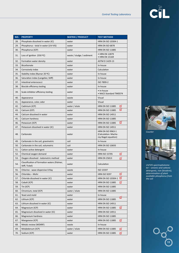| NO. | <b>PROPERTY</b>                                               | <b>MATRIX / PRODUCT</b>   | <b>TEST METHOD</b>                                                      |
|-----|---------------------------------------------------------------|---------------------------|-------------------------------------------------------------------------|
| 28. | Phosphate dissolved in water (IC)                             | water                     | <b>HRN EN ISO 10304-1</b>                                               |
| 29. | Phosphorus - total in water (UV-VIS)                          | water                     | <b>HRN EN ISO 6878</b>                                                  |
| 30. | Phosphorus (ICP)                                              | water                     | <b>HRN EN ISO 11885</b>                                                 |
| 31. | Loss of ignition (550 °C)                                     | waste / sludge / sediment | • HRN EN 12879<br>• HRN EN 15169                                        |
| 32. | Formation water density                                       | water                     | ASTM D 1429-13                                                          |
| 33. | Bicarbonate                                                   | water                     | In-house                                                                |
| 34. | Corrosively index                                             | water                     | Calculation                                                             |
| 35. | Stability index (Ryznar 20 °C)                                | water                     | In-house                                                                |
| 36. | Saturation index (Langelier, Stiff)                           | water                     | In-house                                                                |
| 37. | Intestinal enterococci                                        | water                     | ISO 7899-2                                                              |
| 38. | Biocide efficiency testing                                    | water                     | In-house                                                                |
| 39. | Scale-inhibitor efficiency testing                            | water                     | • In-house<br>• NACE Standard TM0374                                    |
| 40. | Appearance                                                    | waste                     | Visual                                                                  |
| 41. | Appearance, color, odor                                       | water                     | Visual                                                                  |
| 42. | Cadmium (ICP)                                                 | water / elute             | σ<br><b>HRN EN ISO 11885</b>                                            |
| 43. | Calcium (ICP)                                                 | water                     | ď<br><b>HRN EN ISO 11885</b>                                            |
| 44. | Calcium dissolved in water                                    | water                     | <b>HRN EN ISO 14911</b>                                                 |
| 45. | Calcium hardness                                              | water                     | <b>HRN EN ISO 11885</b>                                                 |
| 46. | Potassium (ICP)                                               | water                     | σ<br><b>HRN EN ISO 11885</b>                                            |
| 47. | Potassium dissolved in water (IC)                             | water                     | <b>HRN EN ISO 14911</b>                                                 |
| 48. | Carbonate                                                     | water                     | <b>HRN EN ISO 9963-1</b><br>(Calculation: Mache-<br>rey-Nagel equation) |
| 49. | Carbonate in the soil, gravimetric                            | soil                      | In-house                                                                |
| 50. | Carbonate in the soil, volumetric                             | soil                      | <b>HRN EN ISO 10693</b>                                                 |
| 51. | Cation-active detergent                                       | water                     | In-house                                                                |
| 52. | Chemical oxygen demand                                        | water                     | σ<br><b>HRN ISO 15705</b>                                               |
| 53. | Oxygen dissolved - Iodometric method                          | water                     | σ<br><b>HRN EN 25813</b>                                                |
| 54. | Classification of formation waters (Palmer,<br>Stiff, Tickel) | water                     | Calculation                                                             |
| 55. | Chlorine - wave dispersive X-Ray                              | waste                     | ISO 15597                                                               |
| 56. | Chlorides - Mohr                                              | water                     | σ<br><b>HRN ISO 9297</b>                                                |
| 57. | Chloride dissolved in water (IC)                              | water                     | $\Box$<br>HRN EN ISO 10304-1                                            |
| 58. | Cobalt (ICP)                                                  | water                     | σ<br><b>HRN EN ISO 11885</b>                                            |
| 59. | Tin (ICP)                                                     | water                     | <b>HRN EN ISO 11885</b>                                                 |
| 60. | Chromium, total (ICP)                                         | water / elute             | <b>HRN EN ISO 11885</b>                                                 |
| 61. | Yeast and mold                                                | water                     | In-house                                                                |
| 62. | Lithium (ICP)                                                 | water                     | о<br><b>HRN EN ISO 11885</b>                                            |
| 63. | Lithium dissolved in water (IC)                               | water                     | <b>HRN EN ISO 14911</b>                                                 |
| 64. | Magnesium (ICP)                                               | water                     | σ<br><b>HRN EN ISO 11885</b>                                            |
| 65. | Magnesium dissolved in water (IC)                             | water                     | <b>HRN EN ISO 14911</b>                                                 |
| 66. | Magnesium hardness                                            | water                     | <b>HRN EN ISO 11885</b>                                                 |
| 67. | Manganese (ICP)                                               | water                     | σ<br><b>HRN EN ISO 11885</b>                                            |
| 68. | Metals review (WDXRF)                                         | waste                     | In-house                                                                |
| 69. | Molybdenum (ICP)                                              | water / elute             | <b>HRN EN ISO 11885</b><br>σ                                            |
| 70. | Sodium (ICP)                                                  | water                     | σ<br><b>HRN EN ISO 11885</b>                                            |



*Counter*



*UV/VIS spectrophotometer – anionic and cationic detergents, iron (bivalent), determination of plant available phosphorus from the soil*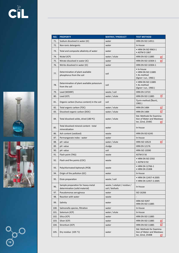





| $12$ |  |
|------|--|

| NO.  | <b>PROPERTY</b>                                                      | <b>MATRIX / PRODUCT</b>                         | <b>TEST METHOD</b>                                                               |
|------|----------------------------------------------------------------------|-------------------------------------------------|----------------------------------------------------------------------------------|
| 71.  | Sodium dissolved in water (IC)                                       | water                                           | <b>HRN EN ISO 14911</b>                                                          |
| 72.  | Non-ionic detergents                                                 | water                                           | In-house                                                                         |
| 73.  | Total and composite alkalinity of water                              | water                                           | • HRN EN ISO 9963-1<br>• ASTM D 1067                                             |
| 74.  | Nickel (ICP)                                                         | water / elute                                   | <b>HRN EN ISO 11885</b><br>σ                                                     |
| 75.  | Nitrate dissolved in water (IC)                                      | water                                           | HRN EN ISO 10304-1<br>σ                                                          |
| 76.  | Nitrite dissolved in water (IC)                                      | water                                           | <b>HRN EN ISO 10304-1</b>                                                        |
| 77.  | Determination of plant available<br>phosphorus from the soil         | soil                                            | • In-house<br>• HRN EN ISO 11885<br>• AL-method<br>(Egner i sur., 1960.)         |
| 78.  | Determination of plant available potassium<br>from the soil          | soil                                            | • HRN EN ISO 11885<br>• AL-method<br>(Egner i sur., 1960.)                       |
| 79.  | Lead (WDXRF)                                                         | waste / soil                                    | <b>HRN EN 13723</b>                                                              |
| 80.  | Lead (ICP)                                                           | water / elute                                   | σ<br><b>HRN EN ISO 11885</b>                                                     |
| 81.  | Organic carbon (humus content) in the soil                           | soil                                            | Tjurin method (Škorić,<br>1982.)                                                 |
| 82.  | Total organic carbon (TOC)                                           | water / elute                                   | <b>HRN EN 1484</b><br>σ                                                          |
| 83.  | Dissolved organic carbon (DOC)                                       | water / elute                                   | σ<br><b>HRN EN 1484</b>                                                          |
| 84.  | Total dissolved solids, dried (180 °C)                               | water / elute                                   | Std. Methods for Examina-<br>tion of Water and Wastewa-<br>ter, 22nd, 2540C<br>σ |
| 85.  | Total dissolved mineral content - total<br>mineralization            | water                                           | In-house                                                                         |
| 86.  | Ash content (oxidized)                                               | waste                                           | <b>HRN EN ISO 6245</b>                                                           |
| 87.  | Permanganate index - water                                           | water                                           | In-house                                                                         |
| 88.  | pH value                                                             | water / elute                                   | <b>HRN ISO 10523</b><br>σ                                                        |
| 89.  | pH value                                                             | sludge                                          | <b>HRN EN 12176</b>                                                              |
| 90.  | pH value                                                             | soil                                            | <b>HRN ISO 10390</b>                                                             |
| 91.  | Flash point (TAG)                                                    | waste                                           | ASTM D 56                                                                        |
| 92.  | Flash and fire points (COC)                                          | waste                                           | • HRN EN ISO 2592<br>$\bullet$ ASTM D 92                                         |
| 93.  | Polychlorinated biphenyls (PCB)                                      | waste                                           | • HRN EN 12766-1<br>• HRN EN 15308                                               |
| 94.  | Origin of the pollution (GC)                                         | water                                           | In-house                                                                         |
| 95.  | Elute preparation                                                    | waste / soil                                    | • HRN EN 12457-4:2005<br>• HRN EN 12457-2:2005                                   |
| 96.  | Sample preparation for heavy-metal<br>determination (solid material) | waste / catalyst / residue /<br>soil / biofuels | In-house                                                                         |
| 97.  | Pseudomonas aeruginosa                                               | water                                           | ISO 16266                                                                        |
| 98.  | Reaction with water                                                  | waste                                           |                                                                                  |
| 99.  | Salinity                                                             | water                                           | <b>HRN ISO 9297</b><br><b>HRN EN ISO 11885</b>                                   |
| 100. | Salmonella species, filtration                                       | water                                           | In-house                                                                         |
| 101. | Selenium (ICP)                                                       | water / elute                                   | In-house                                                                         |
| 102. | Silica (ICP)                                                         | water                                           | <b>HRN EN ISO 11885</b>                                                          |
| 103. | Silver (ICP)                                                         | water                                           | <b>HRN EN ISO 11885</b>                                                          |
| 104. | Strontium (ICP)                                                      | water                                           | σ<br><b>HRN EN ISO 11885</b>                                                     |
| 105. | Dry residue (105 °C)                                                 | water                                           | Std. Methods for Examina-<br>tion of Water and Wastewa-<br>ter, 22nd, 2540B<br>α |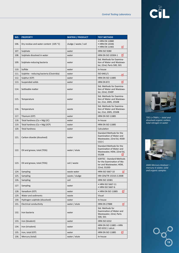| NO.  | <b>PROPERTY</b>                           | <b>MATRIX / PRODUCT</b> | <b>TEST METHOD</b>                                            |
|------|-------------------------------------------|-------------------------|---------------------------------------------------------------|
|      |                                           |                         | • HRN EN 12880                                                |
| 106. | Dry residue and water content (105 °C)    | sludge / waste / soil   | • HRN EN 14346                                                |
|      |                                           |                         | • HRN EN 11465<br>σ                                           |
| 107. | Sulphate                                  | water                   | <b>HRN ISO 9280</b>                                           |
| 108. | Sulphate dissolved in water               | water                   | σ<br><b>HRN EN ISO 10304-1</b>                                |
| 109. |                                           |                         | Std. Methods for Examina-<br>tion of Water and Wastewa-       |
|      | Sulphate-reducing bacteria                | water                   | ter, 22nd, Parts 500, 501                                     |
| 110. | Sulfide                                   | water                   | In-house                                                      |
| 111. | Sulphite - reducing bacteria (Clostridia) | water                   | ISO 6461/1                                                    |
| 112. | Sulphur (ICP)                             | water                   | п<br><b>HRN EN ISO 11885</b>                                  |
| 113. | Suspended solids                          | water                   | σ<br><b>HRN EN 872</b>                                        |
|      |                                           |                         | Std. Methods for Examina-                                     |
| 114. | Settleable matter                         | water                   | tion of Water and Wastewa-<br>ter, 22nd, 2540F                |
|      |                                           |                         | Std. Methods for Examina-                                     |
| 115. | Temperature                               | water                   | tion of Water and Wastewa-<br>ter, 21st, 2005, 2550B          |
|      |                                           |                         | Std. Methods for Examina-                                     |
| 116. | Temperature                               | waste                   | tion of Water and Wastewa-                                    |
|      |                                           |                         | ter, 21st, 2005, 2550B                                        |
| 117. | Titanium (ICP)                            | water                   | <b>HRN EN ISO 11885</b>                                       |
| 118. | Total hardness (Ca + Mg) (IC)             | water                   | In-house                                                      |
| 119. | Total hardness (Ca + Mg) (ICP)            | water                   | <b>HRN EN ISO 11885</b>                                       |
| 120. | <b>Total hardness</b>                     | water                   | Calculation                                                   |
|      |                                           |                         | Standard Methods for the                                      |
| 121. | Carbon dioxide (dissolved)                | water                   | <b>Examination of Water and</b><br>Wastewater, 22nd Ed, 4500- |
|      |                                           |                         | CO <sub>2</sub> C                                             |
|      |                                           |                         | Standard Methods for the                                      |
| 122. | Oil and grease, total (TOG)               | water / elute           | <b>Examination of Water and</b>                               |
|      |                                           |                         | Wastewater, HEM, 22nd Ed,<br>5520B                            |
|      |                                           |                         | <b>SOXTEC - Standard Methods</b>                              |
| 123. | Oil and grease, total (TOG)               | soil / waste            | for the Examination of Wa-                                    |
|      |                                           |                         | ter and Wastewater, HEM,<br>22nd, 5520D                       |
| 124. | Sampling                                  | waste water             | σ<br>HRN ISO 5667-10                                          |
| 125. | Sampling                                  | waste / sludge          | HRI CEN/TR 15310-2:2008                                       |
|      |                                           |                         |                                                               |
| 126. | Sampling                                  | soil                    | <b>HRN ISO 10381</b>                                          |
| 127. | Sampling                                  | water                   | • HRN ISO 5667-11<br>• HRN ISO 5667-6                         |
| 128. | Vanadium (ICP)                            | water                   | • HRN EN ISO 11885<br>σ                                       |
| 129. | Water and sediments                       | waste                   | Visual                                                        |
| 130. | Hydrogen sulphide (dissolved)             | water                   | In-house                                                      |
| 131. | Electrical conductivity                   | water / elute           | <b>HRN EN 27888</b><br>σ                                      |
|      |                                           |                         | Std. Methods for                                              |
| 132. | Iron bacteria                             | water                   | <b>Examination of Water and</b>                               |
|      |                                           |                         | Wastewater, 22nd, Parts<br>500, 501                           |
|      | Iron (bivalent)                           |                         |                                                               |
| 133. |                                           | water                   | <b>HRN ISO 6332</b>                                           |
| 134. | Iron (trivalent)                          | water                   | HRN EN ISO 11885 + HRN<br>ISO 6332 / calcul.                  |
| 135. | Iron, total (ICP)                         | water                   | о<br><b>HRN EN ISO 11885</b>                                  |
| 136. | Mercury (total)                           | water / elute           | In-house                                                      |



*TOC-L+TNM-L – total and dissolved organic carbon, total nitrogen in water*



*AMA Mercury Analyser – mercury in water, solid and organic samples*

13

 $\bigcirc$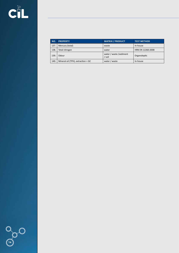| NO.  | <b>PROPERTY</b>                    | <b>MATRIX / PRODUCT</b>            | <b>TEST METHOD</b> |
|------|------------------------------------|------------------------------------|--------------------|
| 137. | Mercury (total)                    | waste                              | In-house           |
| 138. | Total nitrogen                     | water                              | HRN EN 12260:2008  |
| 139  | Odour                              | water / waste / sediment<br>/ soil | Organoleptic       |
| 140. | Mineral oil (TPH), extraction + GC | water / waste                      | In-house           |

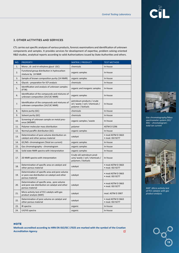

# 3. OTHER ACTIVITIES AND SERVICES

CTL carries out specific analyses of various products, forensic examinations and identification of unknown components and samples. It provides services for development of expertise, problem solving oriented R&D studies, analytical reports according to valid Authorizations issued by State Authorities and others.

| NO. | <b>PROPERTY</b>                                                                                                      | <b>MATRIX / PRODUCT</b>                                                               | <b>TEST METHOD</b>                   |
|-----|----------------------------------------------------------------------------------------------------------------------|---------------------------------------------------------------------------------------|--------------------------------------|
| 1.  | Mono-, di- and tri-ethylene glycol (GC)                                                                              | chemicals                                                                             | In-house                             |
| 2.  | Functional group distribution in hydrocarbon<br>mixture by 1H NMR                                                    | organic samples                                                                       | In-house                             |
| 3.  | Sample of known composition purity (1H NMR)                                                                          | organic samples                                                                       | In-house                             |
| 4.  | Glycols - preparation for ICP analysis                                                                               | chemicals                                                                             | In-house                             |
| 5.  | Identification and analysis of unknown samples<br>(FTIR)                                                             | organic and inorganic samples                                                         | In-house                             |
| 6.  | Identification of the compounds and mixtures of<br>unknown composition (1H/13C NMR)                                  | organic samples                                                                       | In-house                             |
| 7.  | Identification of the compounds and mixtures of<br>unknown composition (1H/13C NMR)                                  | petroleum products / crude<br>oil / waste / soil / chemicals /<br>polymer / biofuels  | In-house                             |
| 8.  | Xylene purity (GC)                                                                                                   | chemicals                                                                             | In-house                             |
| 9.  | Solvent purity (GC)                                                                                                  | chemicals                                                                             | In-house                             |
| 10. | Screening of unknown sample on metal pres-<br>ence (WDXRF)                                                           | organic samples / waste                                                               | In-house                             |
| 11. | Polymer molecular mass distribution                                                                                  | polymer                                                                               | <b>ASTM D 5296</b>                   |
| 12. | Normal paraffin distribution (GC)                                                                                    | organic samples                                                                       | In-house                             |
| 13. | Determination of pore volume distribution on<br>catalyst and other porous material                                   | catalyst                                                                              | · mod ASTM D 3663<br>· mod. ISO 9277 |
| 14. | GC/MS-chromatogram (Total ion current)                                                                               | organic samples                                                                       | In-house                             |
| 15. | Gas chromatography - chromatogram                                                                                    | organic samples                                                                       | In-house                             |
| 16. | Solid state NMR spectra with interpretation                                                                          | organic samples                                                                       | In-house                             |
| 17. | 2D NMR spectra with interpretation                                                                                   | Crude oil/ petroleum prod-<br>ucts/ waste / soil / chemicals /<br>polymers / biofuels | In-house                             |
| 18. | Determination of specific area on catalyst and<br>other porous material                                              | catalyst                                                                              | • mod ASTM D 3663<br>• mod. ISO 9277 |
| 19. | Determination of specific area and pore volume<br>or pore size distribution on catalyst and other<br>porous material | catalyst                                                                              | • mod ASTM D 3663<br>· mod. ISO 9277 |
| 20. | Determination of specific area, pore volume<br>and pore size distribution on catalyst and other<br>porous material   | catalyst                                                                              | • mod ASTM D 3663<br>· mod. ISO 9277 |
| 21. | Micro activity test of FCC catalyts with gas<br>product analysis (MAT)                                               | catalyst                                                                              | mod. ASTM D 3907                     |
| 22. | Determination of pore volume on catalyst and<br>other porous material                                                | catalyst                                                                              | • mod ASTM D 3663<br>• mod. ISO 9277 |
| 23. | IR spectra                                                                                                           | organic                                                                               | In-house                             |
| 24. | UV/VIS spectra                                                                                                       | organic                                                                               | In-house                             |



*Gas chromatography/Mass spectrometer system (GC/ MS) – chromatogram total ion current*



*MAT -Micro activity test of FCC catalyts with gas product analysis*



#### **NOTE Methods accredited according to HRN EN ISO/IEC 17025 are marked with the symbol of the Croatian Accreditation Agency**о